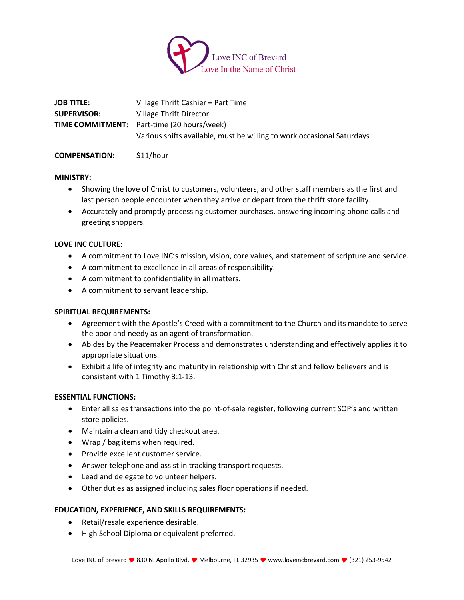

| <b>JOB TITLE:</b>  | Village Thrift Cashier – Part Time                                     |
|--------------------|------------------------------------------------------------------------|
| <b>SUPERVISOR:</b> | Village Thrift Director                                                |
|                    | <b>TIME COMMITMENT:</b> Part-time (20 hours/week)                      |
|                    | Various shifts available, must be willing to work occasional Saturdays |
|                    |                                                                        |

# **COMPENSATION:** \$11/hour

## **MINISTRY:**

- Showing the love of Christ to customers, volunteers, and other staff members as the first and last person people encounter when they arrive or depart from the thrift store facility.
- Accurately and promptly processing customer purchases, answering incoming phone calls and greeting shoppers.

## **LOVE INC CULTURE:**

- A commitment to Love INC's mission, vision, core values, and statement of scripture and service.
- A commitment to excellence in all areas of responsibility.
- A commitment to confidentiality in all matters.
- A commitment to servant leadership.

# **SPIRITUAL REQUIREMENTS:**

- Agreement with the Apostle's Creed with a commitment to the Church and its mandate to serve the poor and needy as an agent of transformation.
- Abides by the Peacemaker Process and demonstrates understanding and effectively applies it to appropriate situations.
- Exhibit a life of integrity and maturity in relationship with Christ and fellow believers and is consistent with 1 Timothy 3:1-13.

# **ESSENTIAL FUNCTIONS:**

- Enter all sales transactions into the point-of-sale register, following current SOP's and written store policies.
- Maintain a clean and tidy checkout area.
- Wrap / bag items when required.
- Provide excellent customer service.
- Answer telephone and assist in tracking transport requests.
- Lead and delegate to volunteer helpers.
- Other duties as assigned including sales floor operations if needed.

# **EDUCATION, EXPERIENCE, AND SKILLS REQUIREMENTS:**

- Retail/resale experience desirable.
- High School Diploma or equivalent preferred.